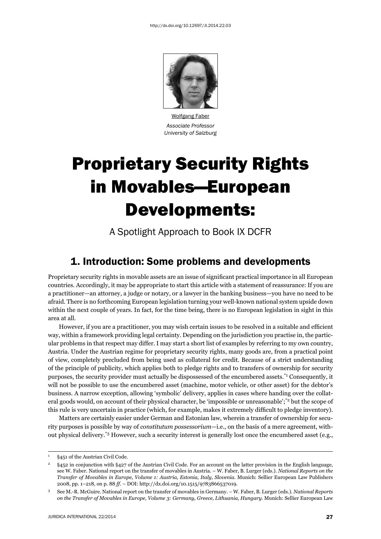

Wolfgang Faber *Associate Professor University of Salzburg*

# Proprietary Security Rights in Movables—European Developments:

A Spotlight Approach to Book IX DCFR

## 1. Introduction: Some problems and developments

Proprietary security rights in movable assets are an issue of significant practical importance in all European countries. Accordingly, it may be appropriate to start this article with a statement of reassurance: If you are a practitioner—an attorney, a judge or notary, or a lawyer in the banking business—you have no need to be afraid. There is no forthcoming European legislation turning your well-known national system upside down within the next couple of years. In fact, for the time being, there is no European legislation in sight in this area at all.

However, if you are a practitioner, you may wish certain issues to be resolved in a suitable and efficient way, within a framework providing legal certainty. Depending on the jurisdiction you practise in, the particular problems in that respect may differ. I may start a short list of examples by referring to my own country, Austria. Under the Austrian regime for proprietary security rights, many goods are, from a practical point of view, completely precluded from being used as collateral for credit. Because of a strict understanding of the principle of publicity, which applies both to pledge rights and to transfers of ownership for security purposes, the security provider must actually be dispossessed of the encumbered assets.\*1 Consequently, it will not be possible to use the encumbered asset (machine, motor vehicle, or other asset) for the debtor's business. A narrow exception, allowing 'symbolic' delivery, applies in cases where handing over the collateral goods would, on account of their physical character, be 'impossible or unreasonable';<sup>\*2</sup> but the scope of this rule is very uncertain in practice (which, for example, makes it extremely difficult to pledge inventory).

Matters are certainly easier under German and Estonian law, wherein a transfer of ownership for security purposes is possible by way of *constitutum possessorium*—i.e., on the basis of a mere agreement, without physical delivery.\*3 However, such a security interest is generally lost once the encumbered asset (e.g.,

<sup>1</sup> §451 of the Austrian Civil Code.

<sup>2 §452</sup> in conjunction with §427 of the Austrian Civil Code. For an account on the latter provision in the English language, see W. Faber. National report on the transfer of movables in Austria. – W. Faber, B. Lurger (eds.). *National Reports on the Transfer of Movables in Europe, Volume 1: Austria, Estonia, Italy, Slovenia*. Munich: Sellier European Law Publishers 2008, pp. 1–218, on p. 88 *ff*. – DOI: http://dx.doi.org/10.1515/9783866537019.

<sup>3</sup> See M.-R. McGuire. National report on the transfer of movables in Germany. – W. Faber, B. Lurger (eds.). *National Reports on the Transfer of Movables in Europe, Volume 3: Germany, Greece, Lithuania, Hungary*. Munich: Sellier European Law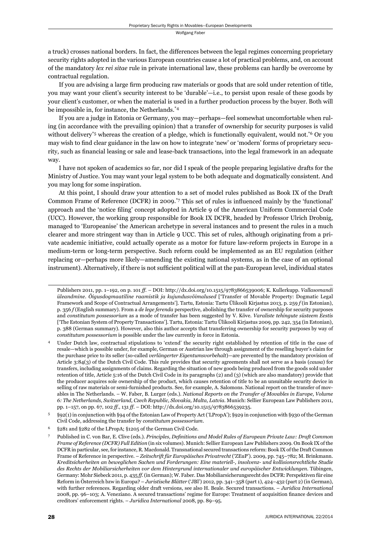a truck) crosses national borders. In fact, the differences between the legal regimes concerning proprietary security rights adopted in the various European countries cause a lot of practical problems, and, on account of the mandatory *lex rei sitae* rule in private international law, these problems can hardly be overcome by contractual regulation.

If you are advising a large firm producing raw materials or goods that are sold under retention of title, you may want your client's security interest to be 'durable'—i.e., to persist upon resale of these goods by your client's customer, or when the material is used in a further production process by the buyer. Both will be impossible in, for instance, the Netherlands.\*4

If you are a judge in Estonia or Germany, you may—perhaps—feel somewhat uncomfortable when ruling (in accordance with the prevailing opinion) that a transfer of ownership for security purposes is valid without delivery<sup>\*5</sup> whereas the creation of a pledge, which is functionally equivalent, would not.<sup>\*6</sup> Or you may wish to find clear guidance in the law on how to integrate 'new' or 'modern' forms of proprietary security, such as financial leasing or sale and lease-back transactions, into the legal framework in an adequate way.

I have not spoken of academics so far, nor did I speak of the people preparing legislative drafts for the Ministry of Justice. You may want your legal system to be both adequate and dogmatically consistent. And you may long for some inspiration.

At this point, I should draw your attention to a set of model rules published as Book IX of the Draft Common Frame of Reference (DCFR) in 2009.<sup>\*7</sup> This set of rules is influenced mainly by the 'functional' approach and the 'notice filing' concept adopted in Article 9 of the American Uniform Commercial Code (UCC). However, the working group responsible for Book IX DCFR, headed by Professor Ulrich Drobnig, managed to 'Europeanise' the American archetype in several instances and to present the rules in a much clearer and more stringent way than in Article 9 UCC. This set of rules, although originating from a private academic initiative, could actually operate as a motor for future law-reform projects in Europe in a medium-term or long-term perspective. Such reform could be implemented as an EU regulation (either replacing or—perhaps more likely—amending the existing national systems, as in the case of an optional instrument). Alternatively, if there is not sufficient political will at the pan-European level, individual states

Publishers 2011, pp. 1–192, on p. 101 *ff.* – DOI: http://dx.doi.org/10.1515/9783866539006; K. Kullerkupp. *Vallasomandi üleandmine. Õigusdogmaatiline raamistik ja kujundusvõimalused* ['Transfer of Movable Property: Dogmatic Legal Framework and Scope of Contractual Arrangements']. Tartu, Estonia: Tartu Ülikooli Kirjastus 2013, p. 259 *f* (in Estonian), p. 356 *f* (English summary). From a *de lege ferenda* perspective, abolishing the transfer of ownership for security purposes and *constitutum possessorium* as a mode of transfer has been suggested by V. Kõve. *Varaliste tehingute süsteem Eestis* ['The Estonian System of Property Transactions']. Tartu, Estonia: Tartu Ülikooli Kirjastus 2009, pp. 242, 354 (in Estonian), p. 388 (German summary). However, also this author accepts that transferring ownership for security purposes by way of *constitutum possessorium* is possible under the law currently in force in Estonia.

Under Dutch law, contractual stipulations to 'extend' the security right established by retention of title in the case of resale—which is possible under, for example, German or Austrian law through assignment of the reselling buyer's claim for the purchase price to its seller (so-called *verlängerter Eigentumsvorbehalt*)—are prevented by the mandatory provision of Article 3:84(3) of the Dutch Civil Code. This rule provides that security agreements shall not serve as a basis (*causa*) for transfers, including assignments of claims. Regarding the situation of new goods being produced from the goods sold under retention of title, Article 5:16 of the Dutch Civil Code in its paragraphs (2) and (3) (which are also mandatory) provide that the producer acquires sole ownership of the product, which causes retention of title to be an unsuitable security device in selling of raw materials or semi-furnished products. See, for example, A. Salomons. National report on the transfer of movables in The Netherlands. – W. Faber, B. Lurger (eds.). *National Reports on the Transfer of Movables in Europe, Volume 6: The Netherlands, Switzerland, Czech Republic, Slovakia, Malta, Latvia*. Munich: Sellier European Law Publishers 2011, pp. 1–157, on pp. 67, 102 *ff.*, 131 *ff*. – DOI: http://dx.doi.org/10.1515/9783866539235.

<sup>5 §92(1)</sup> in conjunction with §94 of the Estonian Law of Property Act ('LPropA'); §929 in conjunction with §930 of the German Civil Code, addressing the transfer by *constitutum possessorium*.

<sup>6 §281</sup> and §282 of the LPropA; §1205 of the German Civil Code.

<sup>7</sup> Published in C. von Bar, E. Clive (eds.). *Principles, Defi nitions and Model Rules of European Private Law: Draft Common Frame of Reference (DCFR) Full Edition* (in six volumes). Munich: Sellier European Law Publishers 2009. On Book IX of the DCFR in particular, see, for instance, R. Macdonald. Transnational secured transactions reform: Book IX of the Draft Common Frame of Reference in perspective. – *Zeitschrift für Europäisches Privatrecht* ('ZEuP'). 2009, pp. 745–782; M. Brinkmann. *Kreditsicherheiten an beweglichen Sachen und Forderungen: Eine materiell-, insolvenz- und kollisionsrechtliche Studie des Rechts der Mobiliarsicherheiten vor dem Hintergrund internationaler und europäischer Entwicklungen*. Tübingen, Germany: Mohr Siebeck 2011, p. 435 *ff.* (in German); W. Faber. Das Mobiliarsicherungsrecht des DCFR: Perspektiven für eine Reform in Österreich bzw in Europa? – *Juristische Blätter* ('JBl') 2012, pp. 341–358 (part 1), 424–432 (part 2) (in German), with further references. Regarding older draft versions, see also H. Beale. Secured transactions. – *Juridica International* 2008, pp. 96-103; A. Veneziano. A secured transactions' regime for Europe: Treatment of acquisition finance devices and creditors' enforcement rights. – *Juridica International* 2008, pp. 89–95.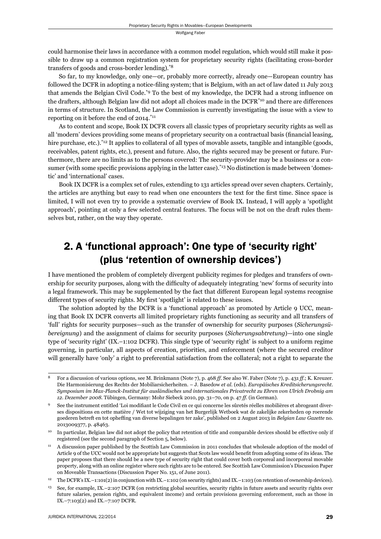could harmonise their laws in accordance with a common model regulation, which would still make it possible to draw up a common registration system for proprietary security rights (facilitating cross-border transfers of goods and cross-border lending).\*8

So far, to my knowledge, only one-or, probably more correctly, already one-European country has followed the DCFR in adopting a notice-filing system; that is Belgium, with an act of law dated 11 July 2013 that amends the Belgian Civil Code.<sup>\*9</sup> To the best of my knowledge, the DCFR had a strong influence on the drafters, although Belgian law did not adopt all choices made in the DCFR<sup>\*10</sup> and there are differences in terms of structure. In Scotland, the Law Commission is currently investigating the issue with a view to reporting on it before the end of 2014.\*11

As to content and scope, Book IX DCFR covers all classic types of proprietary security rights as well as all 'modern' devices providing some means of proprietary security on a contractual basis (financial leasing, hire purchase, etc.).<sup>\*12</sup> It applies to collateral of all types of movable assets, tangible and intangible (goods, receivables, patent rights, etc.), present and future. Also, the rights secured may be present or future. Furthermore, there are no limits as to the persons covered: The security-provider may be a business or a consumer (with some specific provisions applying in the latter case).<sup>\*13</sup> No distinction is made between 'domestic' and 'international' cases.

Book IX DCFR is a complex set of rules, extending to 131 articles spread over seven chapters. Certainly, the articles are anything but easy to read when one encounters the text for the first time. Since space is limited, I will not even try to provide a systematic overview of Book IX. Instead, I will apply a 'spotlight approach', pointing at only a few selected central features. The focus will be not on the draft rules themselves but, rather, on the way they operate.

## 2. A 'functional approach': One type of 'security right' (plus 'retention of ownership devices')

I have mentioned the problem of completely divergent publicity regimes for pledges and transfers of ownership for security purposes, along with the difficulty of adequately integrating 'new' forms of security into a legal framework. This may be supplemented by the fact that different European legal systems recognise different types of security rights. My first 'spotlight' is related to these issues.

The solution adopted by the DCFR is a 'functional approach' as promoted by Article 9 UCC, meaning that Book IX DCFR converts all limited proprietary rights functioning as security and all transfers of 'full' rights for security purposes—such as the transfer of ownership for security purposes (*Sicherungsübereignung*) and the assignment of claims for security purposes (*Sicherungsabtretung*)—into one single type of 'security right' (IX.–1:102 DCFR). This single type of 'security right' is subject to a uniform regime governing, in particular, all aspects of creation, priorities, and enforcement (where the secured creditor will generally have 'only' a right to preferential satisfaction from the collateral; not a right to separate the

<sup>8</sup> For a discussion of various options, see M. Brinkmann (Note 7), p. 468 *ff*. See also W. Faber (Note 7), p. 431 *ff.*; K. Kreuzer. Die Harmonisierung des Rechts der Mobiliarsicherheiten. – J. Basedow *et al*. (eds). *Europäisches Kreditsicherungsrecht. Symposium im Max-Planck-Institut für ausländisches und internationales Privatrecht zu Ehren von Ulrich Drobnig am 12. Dezember 2008*. Tübingen, Germany: Mohr Siebeck 2010, pp. 31–70, on p. 47 *ff.* (in German).

<sup>9</sup> See the instrument entitled 'Loi modifiant le Code Civil en ce qui concerne les sûretés réelles mobilières et abrogeant diverses dispositions en cette matière / Wet tot wijziging van het Burgerlijk Wetboek wat de zakelijke zekerheden op roerende goederen betreft en tot opheffing van diverse bepalingen ter zake', published on 2 August 2013 in *Belgian Law Gazette* no. 2013009377, p. 48463.

<sup>&</sup>lt;sup>10</sup> In particular, Belgian law did not adopt the policy that retention of title and comparable devices should be effective only if registered (see the second paragraph of Section 5, below).

<sup>11</sup> A discussion paper published by the Scottish Law Commission in 2011 concludes that wholesale adoption of the model of Article 9 of the UCC would not be appropriate but suggests that Scots law would benefi t from adopting some of its ideas. The paper proposes that there should be a new type of security right that could cover both corporeal and incorporeal movable property, along with an online register where such rights are to be entered. See Scottish Law Commission's Discussion Paper on Moveable Transactions (Discussion Paper No. 151, of June 2011).

<sup>12</sup> The DCFR's IX.–1:101(2) in conjunction with IX.–1:102 (on security rights) and IX.–1:103 (on retention of ownership devices).

<sup>13</sup> See, for example, IX.–2:107 DCFR (on restricting global securities, security rights in future assets and security rights over future salaries, pension rights, and equivalent income) and certain provisions governing enforcement, such as those in IX.–7:103(2) and IX.–7:107 DCFR.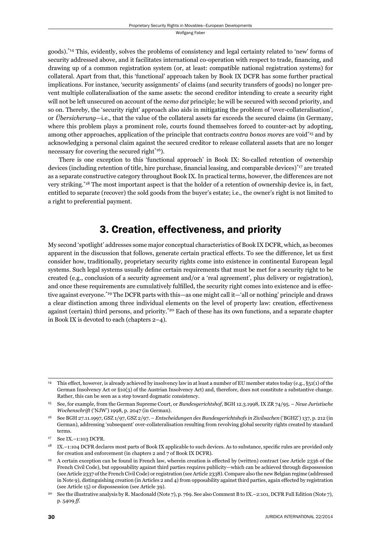goods).\*14 This, evidently, solves the problems of consistency and legal certainty related to 'new' forms of security addressed above, and it facilitates international co-operation with respect to trade, financing, and drawing up of a common registration system (or, at least: compatible national registration systems) for collateral. Apart from that, this 'functional' approach taken by Book IX DCFR has some further practical implications. For instance, 'security assignments' of claims (and security transfers of goods) no longer prevent multiple collateralisation of the same assets: the second creditor intending to create a security right will not be left unsecured on account of the *nemo dat* principle; he will be secured with second priority, and so on. Thereby, the 'security right' approach also aids in mitigating the problem of 'over-collateralisation', or *Übersicherung*—i.e., that the value of the collateral assets far exceeds the secured claims (in Germany, where this problem plays a prominent role, courts found themselves forced to counter-act by adopting, among other approaches, application of the principle that contracts *contra bonos mores* are void\*15 and by acknowledging a personal claim against the secured creditor to release collateral assets that are no longer necessary for covering the secured right<sup>\*16</sup>).

There is one exception to this 'functional approach' in Book IX: So-called retention of ownership devices (including retention of title, hire purchase, financial leasing, and comparable devices)<sup>\*17</sup> are treated as a separate constructive category throughout Book IX. In practical terms, however, the differences are not very striking.\*18 The most important aspect is that the holder of a retention of ownership device is, in fact, entitled to separate (recover) the sold goods from the buyer's estate; i.e., the owner's right is not limited to a right to preferential payment.

## 3. Creation, effectiveness, and priority

My second 'spotlight' addresses some major conceptual characteristics of Book IX DCFR, which, as becomes apparent in the discussion that follows, generate certain practical effects. To see the difference, let us first consider how, traditionally, proprietary security rights come into existence in continental European legal systems. Such legal systems usually define certain requirements that must be met for a security right to be created (e.g., conclusion of a security agreement and/or a 'real agreement', plus delivery or registration), and once these requirements are cumulatively fulfilled, the security right comes into existence and is effective against everyone.\*19 The DCFR parts with this—as one might call it—'all or nothing' principle and draws a clear distinction among three individual elements on the level of property law: creation, effectiveness against (certain) third persons, and priority.\*20 Each of these has its own functions, and a separate chapter in Book IX is devoted to each (chapters 2–4).

<sup>14</sup> This effect, however, is already achieved by insolvency law in at least a number of EU member states today (e.g., §51(1) of the German Insolvency Act or §10(3) of the Austrian Insolvency Act) and, therefore, does not constitute a substantive change. Rather, this can be seen as a step toward dogmatic consistency.

<sup>15</sup> See, for example, from the German Supreme Court, or *Bundesgerichtshof*, BGH 12.3.1998, IX ZR 74/95. – *Neue Juristische Wochenschrift* ('NJW') 1998, p. 2047 (in German).

<sup>16</sup> See BGH 27.11.1997, GSZ 1/97, GSZ 2/97. – *Entscheidungen des Bundesgerichtshofs in Zivilsachen* ('BGHZ') 137, p. 212 (in German), addressing 'subsequent' over-collateralisation resulting from revolving global security rights created by standard terms.

<sup>17</sup> See IX.–1:103 DCFR.

<sup>&</sup>lt;sup>18</sup> IX.–1:104 DCFR declares most parts of Book IX applicable to such devices. As to substance, specific rules are provided only for creation and enforcement (in chapters 2 and 7 of Book IX DCFR).

<sup>19</sup> A certain exception can be found in French law, wherein creation is effected by (written) contract (see Article 2336 of the French Civil Code), but opposability against third parties requires publicity—which can be achieved through dispossession (see Article 2337 of the French Civil Code) or registration (see Article 2338). Compare also the new Belgian regime (addressed in Note 9), distinguishing creation (in Articles 2 and 4) from opposability against third parties, again effected by registration (see Article 15) or dispossession (see Article 39).

<sup>20</sup> See the illustrative analysis by R. Macdonald (Note 7), p. 769. See also Comment B to IX.–2:101, DCFR Full Edition (Note 7), p. 5409 *ff*.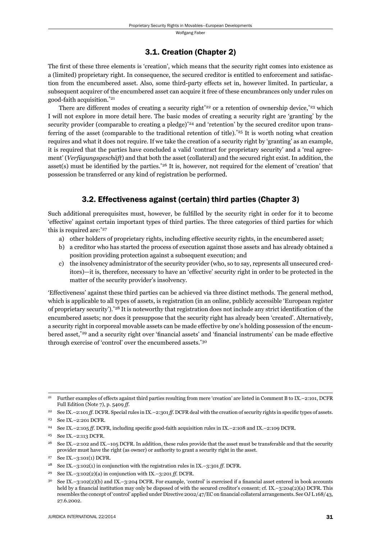#### 3.1. Creation (Chapter 2)

The first of these three elements is 'creation', which means that the security right comes into existence as a (limited) proprietary right. In consequence, the secured creditor is entitled to enforcement and satisfaction from the encumbered asset. Also, some third-party effects set in, however limited. In particular, a subsequent acquirer of the encumbered asset can acquire it free of these encumbrances only under rules on good-faith acquisition.\*21

There are different modes of creating a security right<sup>\*22</sup> or a retention of ownership device,<sup>\*23</sup> which I will not explore in more detail here. The basic modes of creating a security right are 'granting' by the security provider (comparable to creating a pledge)<sup>\*24</sup> and 'retention' by the secured creditor upon transferring of the asset (comparable to the traditional retention of title).<sup>\*25</sup> It is worth noting what creation requires and what it does not require. If we take the creation of a security right by 'granting' as an example, it is required that the parties have concluded a valid 'contract for proprietary security' and a 'real agreement' (*Ver fügungsgeschäft*) and that both the asset (collateral) and the secured right exist. In addition, the asset(s) must be identified by the parties.<sup>\*26</sup> It is, however, not required for the element of 'creation' that possession be transferred or any kind of registration be performed.

### 3.2. Effectiveness against (certain) third parties (Chapter 3)

Such additional prerequisites must, however, be fulfilled by the security right in order for it to become 'effective' against certain important types of third parties. The three categories of third parties for which this is required are:\*27

- a) other holders of proprietary rights, including effective security rights, in the encumbered asset;
- b) a creditor who has started the process of execution against those assets and has already obtained a position providing protection against a subsequent execution; and
- c) the insolvency administrator of the security provider (who, so to say, represents all unsecured creditors)—it is, therefore, necessary to have an 'effective' security right in order to be protected in the matter of the security provider's insolvency.

'Effectiveness' against these third parties can be achieved via three distinct methods. The general method, which is applicable to all types of assets, is registration (in an online, publicly accessible 'European register of proprietary security').<sup>\*28</sup> It is noteworthy that registration does not include any strict identification of the encumbered assets; nor does it presuppose that the security right has already been 'created'. Alternatively, a security right in corporeal movable assets can be made effective by one's holding possession of the encumbered asset,<sup>\*29</sup> and a security right over 'financial assets' and 'financial instruments' can be made effective through exercise of 'control' over the encumbered assets.\*30

<sup>21</sup> Further examples of effects against third parties resulting from mere 'creation' are listed in Comment B to IX.–2:101, DCFR Full Edition (Note 7), p. 5409 *ff*.

<sup>&</sup>lt;sup>22</sup> See IX.–2:101 *ff*. DCFR. Special rules in IX.–2:301 *ff*. DCFR deal with the creation of security rights in specific types of assets.

<sup>23</sup> See IX.–2:201 DCFR.

<sup>&</sup>lt;sup>24</sup> See IX.–2:105 *ff.* DCFR, including specific good-faith acquisition rules in IX.–2:108 and IX.–2:109 DCFR.

<sup>25</sup> See IX.–2:113 DCFR.

<sup>&</sup>lt;sup>26</sup> See IX.–2:102 and IX.–105 DCFR. In addition, these rules provide that the asset must be transferable and that the security provider must have the right (as owner) or authority to grant a security right in the asset.

<sup>27</sup> See IX.–3:101(1) DCFR.

<sup>28</sup> See IX.–3:102(1) in conjunction with the registration rules in IX.–3:301 *ff.* DCFR.

<sup>29</sup> See IX.–3:102(2)(a) in conjunction with IX.–3:201 *ff.* DCFR.

See IX.–3:102(2)(b) and IX.–3:204 DCFR. For example, 'control' is exercised if a financial asset entered in book accounts held by a financial institution may only be disposed of with the secured creditor's consent; cf. IX.–3:204(2)(a) DCFR. This resembles the concept of 'control' applied under Directive 2002/47/EC on financial collateral arrangements. See OJ L 168/43, 27.6.2002.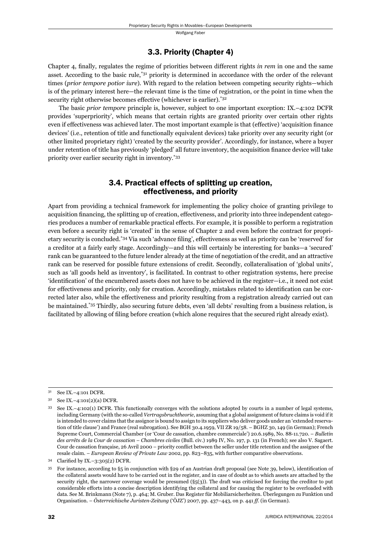#### 3.3. Priority (Chapter 4)

Chapter 4, finally, regulates the regime of priorities between different rights *in rem* in one and the same asset. According to the basic rule,\*31 priority is determined in accordance with the order of the relevant times (*prior tempore potior iure*). With regard to the relation between competing security rights—which is of the primary interest here—the relevant time is the time of registration, or the point in time when the security right otherwise becomes effective (whichever is earlier).<sup>\*32</sup>

The basic *prior tempore* principle is, however, subject to one important exception: IX.–4:102 DCFR provides 'superpriority', which means that certain rights are granted priority over certain other rights even if effectiveness was achieved later. The most important example is that (effective) 'acquisition finance devices' (i.e., retention of title and functionally equivalent devices) take priority over any security right (or other limited proprietary right) 'created by the security provider'. Accordingly, for instance, where a buyer under retention of title has previously 'pledged' all future inventory, the acquisition finance device will take priority over earlier security right in inventory.\*33

### 3.4. Practical effects of splitting up creation, effectiveness, and priority

Apart from providing a technical framework for implementing the policy choice of granting privilege to acquisition financing, the splitting up of creation, effectiveness, and priority into three independent categories produces a number of remarkable practical effects. For example, it is possible to perform a registration even before a security right is 'created' in the sense of Chapter 2 and even before the contract for proprietary security is concluded.<sup>\*34</sup> Via such 'advance filing', effectiveness as well as priority can be 'reserved' for a creditor at a fairly early stage. Accordingly—and this will certainly be interesting for banks—a 'secured' rank can be guaranteed to the future lender already at the time of negotiation of the credit, and an attractive rank can be reserved for possible future extensions of credit. Secondly, collateralisation of 'global units', such as 'all goods held as inventory', is facilitated. In contrast to other registration systems, here precise 'identification' of the encumbered assets does not have to be achieved in the register—i.e., it need not exist for effectiveness and priority, only for creation. Accordingly, mistakes related to identification can be corrected later also, while the effectiveness and priority resulting from a registration already carried out can be maintained.\*35 Thirdly, also securing future debts, even 'all debts' resulting from a business relation, is facilitated by allowing of filing before creation (which alone requires that the secured right already exist).

<sup>31</sup> See IX.–4:101 DCFR.

<sup>32</sup> See IX.–4:101(2)(a) DCFR.

<sup>33</sup> See IX.–4:102(1) DCFR. This functionally converges with the solutions adopted by courts in a number of legal systems, including Germany (with the so-called *Vertragsbruchtheorie*, assuming that a global assignment of future claims is void if it is intended to cover claims that the assignor is bound to assign to its suppliers who deliver goods under an 'extended reservation of title clause') and France (real subrogation). See BGH 30.4.1959, VII ZR 19/58. – BGHZ 30, 149 (in German); French Supreme Court, Commercial Chamber (or 'Cour de cassation, chambre commerciale') 20.6.1989, No. 88-11.720. – *Bulletin des arrêts de la Cour de cassation – Chambres civiles* (Bull. civ.) 1989 IV, No. 197, p. 131 (in French); see also V. Sagaert. Cour de cassation française, 26 Avril 2000 – priority conflict between the seller under title retention and the assignee of the resale claim. – *European Review of Private Law* 2002, pp. 823–835, with further comparative observations.

<sup>34</sup> Clarified by IX. $-3:305(2)$  DCFR.

<sup>35</sup> For instance, according to  $\S5$  in conjunction with  $\S29$  of an Austrian draft proposal (see Note 39, below), identification of the collateral assets would have to be carried out in the register, and in case of doubt as to which assets are attached by the security right, the narrower coverage would be presumed  $(\S_5(3))$ . The draft was criticised for forcing the creditor to put considerable efforts into a concise description identifying the collateral and for causing the register to be overloaded with data. See M. Brinkmann (Note 7), p. 464; M. Gruber. Das Register für Mobiliarsicherheiten. Überlegungen zu Funktion und Organisation. – *Österreichische Juristen-Zeitung* ('ÖJZ') 2007, pp. 437–443, on p. 441 *ff.* (in German).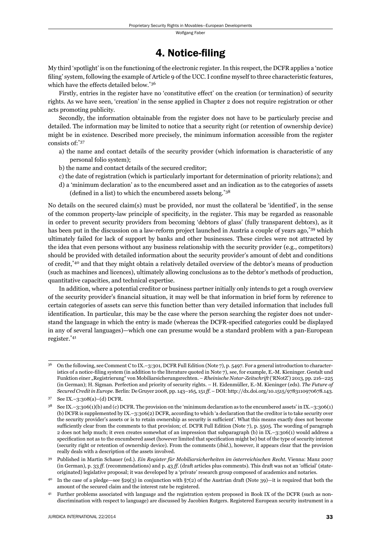## 4. Notice-filing

My third 'spotlight' is on the functioning of the electronic register. In this respect, the DCFR applies a 'notice filing' system, following the example of Article 9 of the UCC. I confine myself to three characteristic features, which have the effects detailed below.\*36

Firstly, entries in the register have no 'constitutive effect' on the creation (or termination) of security rights. As we have seen, 'creation' in the sense applied in Chapter 2 does not require registration or other acts promoting publicity.

Secondly, the information obtainable from the register does not have to be particularly precise and detailed. The information may be limited to notice that a security right (or retention of ownership device) might be in existence. Described more precisely, the minimum information accessible from the register consists of:\*37

- a) the name and contact details of the security provider (which information is characteristic of any personal folio system);
- b) the name and contact details of the secured creditor;
- c) the date of registration (which is particularly important for determination of priority relations); and
- d) a 'minimum declaration' as to the encumbered asset and an indication as to the categories of assets (defined in a list) to which the encumbered assets belong. $*38$

No details on the secured claim(s) must be provided, nor must the collateral be 'identified', in the sense of the common property-law principle of specificity, in the register. This may be regarded as reasonable in order to prevent security providers from becoming 'debtors of glass' (fully transparent debtors), as it has been put in the discussion on a law-reform project launched in Austria a couple of years ago,<sup>\*39</sup> which ultimately failed for lack of support by banks and other businesses. These circles were not attracted by the idea that even persons without any business relationship with the security provider (e.g., competitors) should be provided with detailed information about the security provider's amount of debt and conditions of credit,\*40 and that they might obtain a relatively detailed overview of the debtor's means of production (such as machines and licences), ultimately allowing conclusions as to the debtor's methods of production, quantitative capacities, and technical expertise.

In addition, where a potential creditor or business partner initially only intends to get a rough overview of the security provider's financial situation, it may well be that information in brief form by reference to certain categories of assets can serve this function better than very detailed information that includes full identification. In particular, this may be the case where the person searching the register does not understand the language in which the entry is made (whereas the DCFR-specified categories could be displayed in any of several languages)—which one can presume would be a standard problem with a pan-European register.\*41

<sup>36</sup> On the following, see Comment C to IX.–3:301, DCFR Full Edition (Note 7), p. 5497. For a general introduction to characteristics of a notice-filing system (in addition to the literature quoted in Note 7), see, for example, E.-M. Kieninger. Gestalt und Funktion einer "Registrierung" von Mobiliarsicherungsrechten. – *Rheinische Notar-Zeitschrift* ('RNotZ') 2013, pp. 216–225 (in German); H. Sigman. Perfection and priority of security rights. – H. Eidenmüller, E.-M. Kieninger (eds). *The Future of Secured Credit in Europe*. Berlin: De Gruyer 2008, pp. 143–165, 151 *ff*. – DOI: http://dx.doi.org/10.1515/9783110970678.143.

<sup>37</sup> See IX.–3:308(a)–(d) DCFR.

 $3^8$  See IX.–3:306(1)(b) and (c) DCFR. The provision on the 'minimum declaration as to the encumbered assets' in IX.–3:306(1) (b) DCFR is supplemented by IX.–3:306(2) DCFR, according to which 'a declaration that the creditor is to take security over the security provider's assets or is to retain ownership as security is sufficient'. What this means exactly does not become sufficiently clear from the comments to that provision; cf. DCFR Full Edition (Note 7), p. 5505. The wording of paragraph 2 does not help much; it even creates somewhat of an impression that subparagraph (b) in IX.–3:306(1) would address a specification not as to the encumbered asset (however limited that specification might be) but of the type of security interest (security right or retention of ownership device). From the comments (*ibid*.), however, it appears clear that the provision really deals with a description of the assets involved.

<sup>39</sup> Published in Martin Schauer (ed.). *Ein Register für Mobiliarsicherheiten im österreichischen Recht*. Vienna: Manz 2007 (in German), p. 33 *ff.* (recommendations) and p. 43 *ff.* (draft articles plus comments). This draft was not an 'official' (stateoriginated) legislative proposal; it was developed by a 'private' research group composed of academics and notaries.

<sup>&</sup>lt;sup>40</sup> In the case of a pledge—see §29(3) in conjunction with  $\S7(2)$  of the Austrian draft (Note 39)—it is required that both the amount of the secured claim and the interest rate be registered.

<sup>41</sup> Further problems associated with language and the registration system proposed in Book IX of the DCFR (such as nondiscrimination with respect to language) are discussed by Jacobien Rutgers. Registered European security instrument in a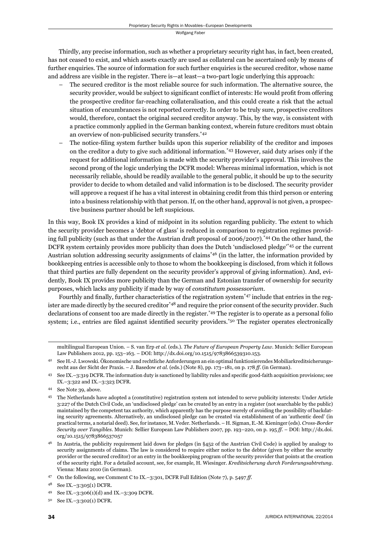Thirdly, any precise information, such as whether a proprietary security right has, in fact, been created, has not ceased to exist, and which assets exactly are used as collateral can be ascertained only by means of further enquiries. The source of information for such further enquiries is the secured creditor, whose name and address are visible in the register. There is—at least—a two-part logic underlying this approach:

- The secured creditor is the most reliable source for such information. The alternative source, the security provider, would be subject to significant conflict of interests: He would profit from offering the prospective creditor far-reaching collateralisation, and this could create a risk that the actual situation of encumbrances is not reported correctly. In order to be truly sure, prospective creditors would, therefore, contact the original secured creditor anyway. This, by the way, is consistent with a practice commonly applied in the German banking context, wherein future creditors must obtain an overview of non-publicised security transfers.\*42
- The notice-filing system further builds upon this superior reliability of the creditor and imposes on the creditor a duty to give such additional information.\*43 However, said duty arises only if the request for additional information is made with the security provider's approval. This involves the second prong of the logic underlying the DCFR model: Whereas minimal information, which is not necessarily reliable, should be readily available to the general public, it should be up to the security provider to decide to whom detailed and valid information is to be disclosed. The security provider will approve a request if he has a vital interest in obtaining credit from this third person or entering into a business relationship with that person. If, on the other hand, approval is not given, a prospective business partner should be left suspicious.

In this way, Book IX provides a kind of midpoint in its solution regarding publicity. The extent to which the security provider becomes a 'debtor of glass' is reduced in comparison to registration regimes providing full publicity (such as that under the Austrian draft proposal of 2006/2007).\*44 On the other hand, the DCFR system certainly provides more publicity than does the Dutch 'undisclosed pledge'\*45 or the current Austrian solution addressing security assignments of claims\*46 (in the latter, the information provided by bookkeeping entries is accessible only to those to whom the bookkeeping is disclosed, from which it follows that third parties are fully dependent on the security provider's approval of giving information). And, evidently, Book IX provides more publicity than the German and Estonian transfer of ownership for security purposes, which lacks any publicity if made by way of *constitutum possessorium*.

Fourthly and finally, further characteristics of the registration system\*47 include that entries in the register are made directly by the secured creditor<sup>\*48</sup> and require the prior consent of the security provider. Such declarations of consent too are made directly in the register.\*49 The register is to operate as a personal folio system; i.e., entries are filed against identified security providers.<sup>\*50</sup> The register operates electronically

multilingual European Union. – S. van Erp *et al*. (eds.). *The Future of European Property Law*. Munich: Sellier European Law Publishers 2012, pp. 153–163. – DOI: http://dx.doi.org/10.1515/9783866539310.153.

<sup>42</sup> See H.-J. Lwowski. Ökonomische und rechtliche Anforderungen an ein optimal funktionierendes Mobiliarkreditsicherungsrecht aus der Sicht der Praxis. – J. Basedow *et al*. (eds.) (Note 8), pp. 173–181, on p. 178 *ff.* (in German).

<sup>43</sup> See IX.–3:319 DCFR. The information duty is sanctioned by liability rules and specifi c good-faith acquisition provisions; see IX.–3:322 and IX.–3:323 DCFR.

<sup>44</sup> See Note 39, above.

<sup>45</sup> The Netherlands have adopted a (constitutive) registration system not intended to serve publicity interests: Under Article 3:227 of the Dutch Civil Code, an 'undisclosed pledge' can be created by an entry in a register (not searchable by the public) maintained by the competent tax authority, which apparently has the purpose merely of avoiding the possibility of backdating security agreements. Alternatively, an undisclosed pledge can be created via establishment of an 'authentic deed' (in practical terms, a notarial deed). See, for instance, M. Veder. Netherlands. – H. Sigman, E.-M. Kieninger (eds). *Cross-Border Security over Tangibles*. Munich: Sellier European Law Publishers 2007, pp. 193–220, on p. 195 *ff*. – DOI: http://dx.doi. org/10.1515/9783866537057

 $46$  In Austria, the publicity requirement laid down for pledges (in  $\S452$  of the Austrian Civil Code) is applied by analogy to security assignments of claims. The law is considered to require either notice to the debtor (given by either the security provider or the secured creditor) or an entry in the bookkeeping program of the security provider that points at the creation of the security right. For a detailed account, see, for example, H. Wiesinger. *Kreditsicherung durch Forderungsabtretung*. Vienna: Manz 2010 (in German).

<sup>47</sup> On the following, see Comment C to IX.–3:301, DCFR Full Edition (Note 7), p. 5497 *ff*.

See IX.-3:305(1) DCFR.

<sup>49</sup> See IX.–3:306(1)(d) and IX.–3:309 DCFR.

<sup>50</sup> See IX.–3:302(1) DCFR.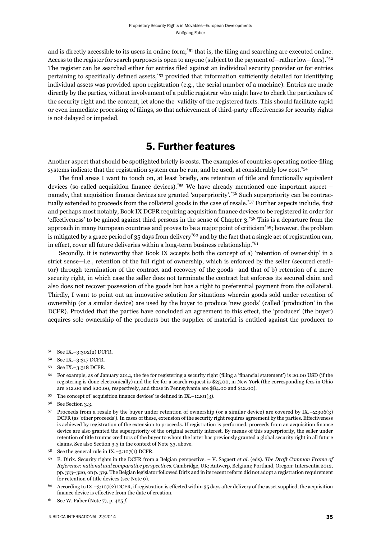and is directly accessible to its users in online form;<sup>\*51</sup> that is, the filing and searching are executed online. Access to the register for search purposes is open to anyone (subject to the payment of—rather low—fees).<sup>\*52</sup> The register can be searched either for entries filed against an individual security provider or for entries pertaining to specifically defined assets,  $53$  provided that information sufficiently detailed for identifying individual assets was provided upon registration (e.g., the serial number of a machine). Entries are made directly by the parties, without involvement of a public registrar who might have to check the particulars of the security right and the content, let alone the validity of the registered facts. This should facilitate rapid or even immediate processing of filings, so that achievement of third-party effectiveness for security rights is not delayed or impeded.

## 5. Further features

Another aspect that should be spotlighted briefly is costs. The examples of countries operating notice-filing systems indicate that the registration system can be run, and be used, at considerably low cost.<sup>\*54</sup>

The final areas I want to touch on, at least briefly, are retention of title and functionally equivalent devices (so-called acquisition finance devices).\*55 We have already mentioned one important aspect – namely, that acquisition finance devices are granted 'superpriority'.<sup>\*56</sup> Such superpriority can be contractually extended to proceeds from the collateral goods in the case of resale.<sup>\*57</sup> Further aspects include, first and perhaps most notably, Book IX DCFR requiring acquisition finance devices to be registered in order for 'effectiveness' to be gained against third persons in the sense of Chapter 3.\*58 This is a departure from the approach in many European countries and proves to be a major point of criticism\*59; however, the problem is mitigated by a grace period of 35 days from delivery<sup>\*60</sup> and by the fact that a single act of registration can, in effect, cover all future deliveries within a long-term business relationship.<sup>\*61</sup>

Secondly, it is noteworthy that Book IX accepts both the concept of a) 'retention of ownership' in a strict sense—i.e., retention of the full right of ownership, which is enforced by the seller (secured creditor) through termination of the contract and recovery of the goods—and that of b) retention of a mere security right, in which case the seller does not terminate the contract but enforces its secured claim and also does not recover possession of the goods but has a right to preferential payment from the collateral. Thirdly, I want to point out an innovative solution for situations wherein goods sold under retention of ownership (or a similar device) are used by the buyer to produce 'new goods' (called 'production' in the DCFR). Provided that the parties have concluded an agreement to this effect, the 'producer' (the buyer) acquires sole ownership of the products but the supplier of material is entitled against the producer to

<sup>51</sup> See IX.–3:302(2) DCFR.

<sup>52</sup> See IX.–3:317 DCFR.

<sup>53</sup> See IX.–3:318 DCFR.

<sup>&</sup>lt;sup>54</sup> For example, as of January 2014, the fee for registering a security right (filing a 'financial statement') is 20.00 USD (if the registering is done electronically) and the fee for a search request is \$25.00, in New York (the corresponding fees in Ohio are \$12.00 and \$20.00, respectively, and those in Pennsylvania are \$84.00 and \$12.00).

 $55$  The concept of 'acquisition finance devices' is defined in IX.–1:201(3).

<sup>56</sup> See Section 3.3.

<sup>57</sup> Proceeds from a resale by the buyer under retention of ownership (or a similar device) are covered by IX.–2:306(3) DCFR (as 'other proceeds'). In cases of these, extension of the security right requires agreement by the parties. Effectiveness is achieved by registration of the extension to proceeds. If registration is performed, proceeds from an acquisition finance device are also granted the superpriority of the original security interest. By means of this superpriority, the seller under retention of title trumps creditors of the buyer to whom the latter has previously granted a global security right in all future claims. See also Section 3.3 in the context of Note 33, above.

See the general rule in  $IX. -3:107(1)$  DCFR.

<sup>59</sup> E. Dirix. Security rights in the DCFR from a Belgian perspective. – V. Sagaert *et al*. (eds). *The Draft Common Frame of Reference: national and comparative perspectives*. Cambridge, UK; Antwerp, Belgium; Portland, Oregon: Intersentia 2012, pp. 313–320, on p. 319. The Belgian legislator followed Dirix and in its recent reform did not adopt a registration requirement for retention of title devices (see Note 9).

<sup>&</sup>lt;sup>60</sup> According to IX.–3:107(2) DCFR, if registration is effected within 35 days after delivery of the asset supplied, the acquisition finance device is effective from the date of creation.

<sup>61</sup> See W. Faber (Note 7), p. 425 *f*.